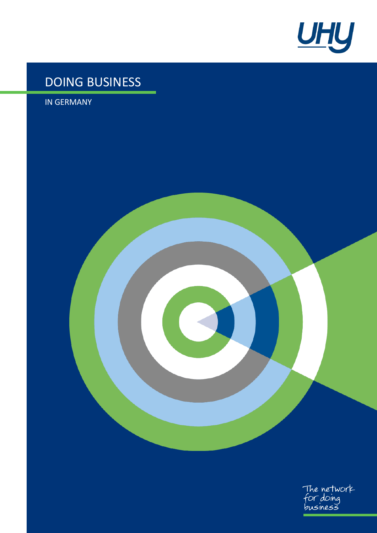

# DOING BUSINESS

<span id="page-0-0"></span>IN GERMANY

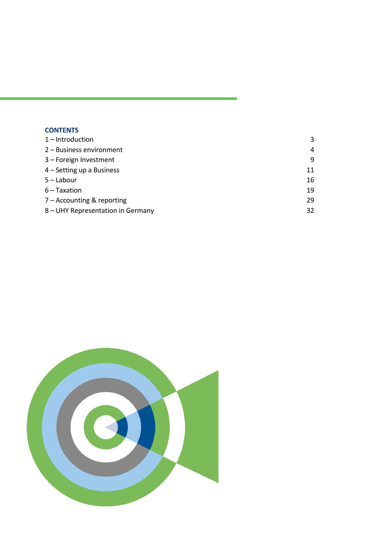| <b>CONTENTS</b> |  |  |
|-----------------|--|--|
|                 |  |  |

| $1$ – Introduction                | 3  |
|-----------------------------------|----|
| 2 - Business environment          | 4  |
| 3 - Foreign Investment            | 9  |
| 4 – Setting up a Business         | 11 |
| $5 -$ Labour                      | 16 |
| $6 -$ Taxation                    | 19 |
| $7 -$ Accounting & reporting      | 29 |
| 8 – UHY Representation in Germany | 32 |

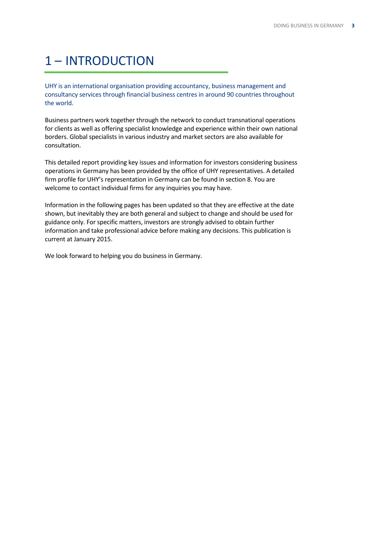# <span id="page-2-0"></span>1 – INTRODUCTION

UHY is an international organisation providing accountancy, business management and consultancy services through financial business centres in around 90 countries throughout the world.

Business partners work together through the network to conduct transnational operations for clients as well as offering specialist knowledge and experience within their own national borders. Global specialists in various industry and market sectors are also available for consultation.

This detailed report providing key issues and information for investors considering business operations in [Germany](#page-0-0) has been provided by the office of UHY representatives. A detailed firm profile for UHY's representation in Germany can be found in section 8. You are welcome to contact individual firms for any inquiries you may have.

Information in the following pages has been updated so that they are effective at the date shown, but inevitably they are both general and subject to change and should be used for guidance only. For specific matters, investors are strongly advised to obtain further information and take professional advice before making any decisions. This publication is current at January 2015.

We look forward to helping you do business in [Germany.](#page-0-0)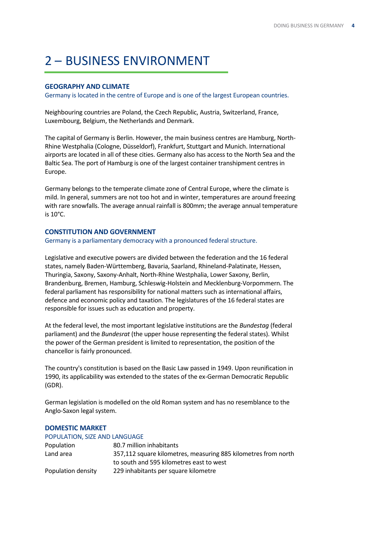# <span id="page-3-0"></span>2 – BUSINESS ENVIRONMENT

## **GEOGRAPHY AND CLIMATE**

Germany is located in the centre of Europe and is one of the largest European countries.

Neighbouring countries are Poland, the Czech Republic, Austria, Switzerland, France, Luxembourg, Belgium, the Netherlands and Denmark.

The capital of Germany is Berlin. However, the main business centres are Hamburg, North-Rhine Westphalia (Cologne, Düsseldorf), Frankfurt, Stuttgart and Munich. International airports are located in all of these cities. Germany also has access to the North Sea and the Baltic Sea. The port of Hamburg is one of the largest container transhipment centres in Europe.

Germany belongs to the temperate climate zone of Central Europe, where the climate is mild. In general, summers are not too hot and in winter, temperatures are around freezing with rare snowfalls. The average annual rainfall is 800mm; the average annual temperature is 10°C.

### **CONSTITUTION AND GOVERNMENT**

Germany is a parliamentary democracy with a pronounced federal structure.

Legislative and executive powers are divided between the federation and the 16 federal states, namely Baden-Württemberg, Bavaria, Saarland, Rhineland-Palatinate, Hessen, Thuringia, Saxony, Saxony-Anhalt, North-Rhine Westphalia, Lower Saxony, Berlin, Brandenburg, Bremen, Hamburg, Schleswig-Holstein and Mecklenburg-Vorpommern. The federal parliament has responsibility for national matters such as international affairs, defence and economic policy and taxation. The legislatures of the 16 federal states are responsible for issues such as education and property.

At the federal level, the most important legislative institutions are the *Bundestag* (federal parliament) and the *Bundesrat* (the upper house representing the federal states). Whilst the power of the German president is limited to representation, the position of the chancellor is fairly pronounced.

The country's constitution is based on the Basic Law passed in 1949. Upon reunification in 1990, its applicability was extended to the states of the ex-German Democratic Republic (GDR).

German legislation is modelled on the old Roman system and has no resemblance to the Anglo-Saxon legal system.

### **DOMESTIC MARKET**

| POPULATION, SIZE AND LANGUAGE |                                                                |
|-------------------------------|----------------------------------------------------------------|
| Population                    | 80.7 million inhabitants                                       |
| Land area                     | 357,112 square kilometres, measuring 885 kilometres from north |
|                               | to south and 595 kilometres east to west                       |
| Population density            | 229 inhabitants per square kilometre                           |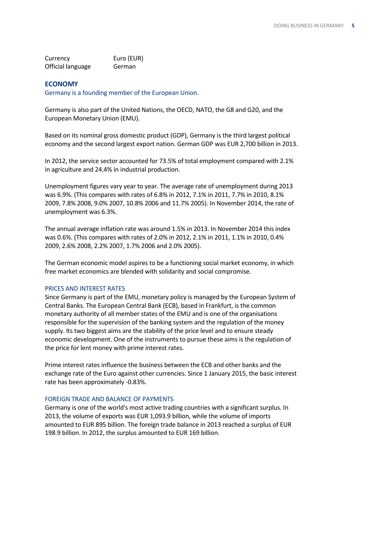| Currency          | Euro (EUR) |
|-------------------|------------|
| Official language | German     |

### **ECONOMY**

Germany is a founding member of the European Union.

Germany is also part of the United Nations, the OECD, NATO, the G8 and G20, and the European Monetary Union (EMU).

Based on its nominal gross domestic product (GDP), Germany is the third largest political economy and the second largest export nation. German GDP was EUR 2,700 billion in 2013.

In 2012, the service sector accounted for 73.5% of total employment compared with 2.1% in agriculture and 24.4% in industrial production.

Unemployment figures vary year to year. The average rate of unemployment during 2013 was 6.9%. (This compares with rates of 6.8% in 2012, 7.1% in 2011, 7.7% in 2010, 8.1% 2009, 7.8% 2008, 9.0% 2007, 10.8% 2006 and 11.7% 2005). In November 2014, the rate of unemployment was 6.3%.

The annual average inflation rate was around 1.5% in 2013. In November 2014 this index was 0.6%. (This compares with rates of 2.0% in 2012, 2.1% in 2011, 1.1% in 2010, 0.4% 2009, 2.6% 2008, 2.2% 2007, 1.7% 2006 and 2.0% 2005).

The German economic model aspires to be a functioning social market economy, in which free market economics are blended with solidarity and social compromise.

### PRICES AND INTEREST RATES

Since Germany is part of the EMU, monetary policy is managed by the European System of Central Banks. The European Central Bank (ECB), based in Frankfurt, is the common monetary authority of all member states of the EMU and is one of the organisations responsible for the supervision of the banking system and the regulation of the money supply. Its two biggest aims are the stability of the price level and to ensure steady economic development. One of the instruments to pursue these aims is the regulation of the price for lent money with prime interest rates.

Prime interest rates influence the business between the ECB and other banks and the exchange rate of the Euro against other currencies. Since 1 January 2015, the basic interest rate has been approximately -0.83%.

### FOREIGN TRADE AND BALANCE OF PAYMENTS

Germany is one of the world's most active trading countries with a significant surplus. In 2013, the volume of exports was EUR 1,093.9 billion, while the volume of imports amounted to EUR 895 billion. The foreign trade balance in 2013 reached a surplus of EUR 198.9 billion. In 2012, the surplus amounted to EUR 169 billion.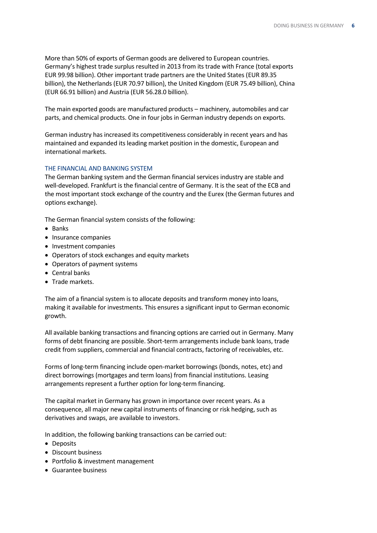More than 50% of exports of German goods are delivered to European countries. Germany's highest trade surplus resulted in 2013 from its trade with France (total exports EUR 99.98 billion). Other important trade partners are the United States (EUR 89.35 billion), the Netherlands (EUR 70.97 billion), the United Kingdom (EUR 75.49 billion), China (EUR 66.91 billion) and Austria (EUR 56.28.0 billion).

The main exported goods are manufactured products – machinery, automobiles and car parts, and chemical products. One in four jobs in German industry depends on exports.

German industry has increased its competitiveness considerably in recent years and has maintained and expanded its leading market position in the domestic, European and international markets.

## THE FINANCIAL AND BANKING SYSTEM

The German banking system and the German financial services industry are stable and well-developed. Frankfurt is the financial centre of Germany. It is the seat of the ECB and the most important stock exchange of the country and the Eurex (the German futures and options exchange).

The German financial system consists of the following:

- Banks
- Insurance companies
- Investment companies
- Operators of stock exchanges and equity markets
- Operators of payment systems
- Central banks
- **•** Trade markets.

The aim of a financial system is to allocate deposits and transform money into loans, making it available for investments. This ensures a significant input to German economic growth.

All available banking transactions and financing options are carried out in Germany. Many forms of debt financing are possible. Short-term arrangements include bank loans, trade credit from suppliers, commercial and financial contracts, factoring of receivables, etc.

Forms of long-term financing include open-market borrowings (bonds, notes, etc) and direct borrowings (mortgages and term loans) from financial institutions. Leasing arrangements represent a further option for long-term financing.

The capital market in Germany has grown in importance over recent years. As a consequence, all major new capital instruments of financing or risk hedging, such as derivatives and swaps, are available to investors.

In addition, the following banking transactions can be carried out:

- Deposits
- Discount business
- Portfolio & investment management
- Guarantee business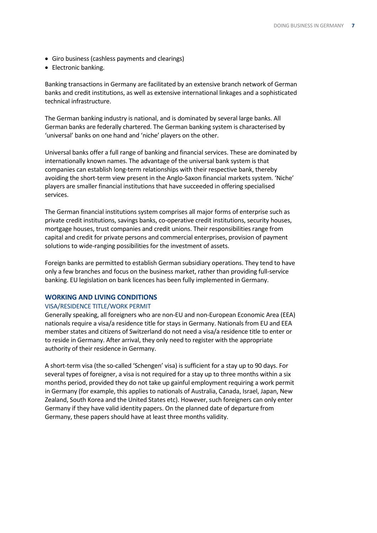- Giro business (cashless payments and clearings)
- Electronic banking.

Banking transactions in Germany are facilitated by an extensive branch network of German banks and credit institutions, as well as extensive international linkages and a sophisticated technical infrastructure.

The German banking industry is national, and is dominated by several large banks. All German banks are federally chartered. The German banking system is characterised by 'universal' banks on one hand and 'niche' players on the other.

Universal banks offer a full range of banking and financial services. These are dominated by internationally known names. The advantage of the universal bank system is that companies can establish long-term relationships with their respective bank, thereby avoiding the short-term view present in the Anglo-Saxon financial markets system. 'Niche' players are smaller financial institutions that have succeeded in offering specialised services.

The German financial institutions system comprises all major forms of enterprise such as private credit institutions, savings banks, co-operative credit institutions, security houses, mortgage houses, trust companies and credit unions. Their responsibilities range from capital and credit for private persons and commercial enterprises, provision of payment solutions to wide-ranging possibilities for the investment of assets.

Foreign banks are permitted to establish German subsidiary operations. They tend to have only a few branches and focus on the business market, rather than providing full-service banking. EU legislation on bank licences has been fully implemented in Germany.

### **WORKING AND LIVING CONDITIONS**

### VISA/RESIDENCE TITLE/WORK PERMIT

Generally speaking, all foreigners who are non-EU and non-European Economic Area (EEA) nationals require a visa/a residence title for stays in Germany. Nationals from EU and EEA member states and citizens of Switzerland do not need a visa/a residence title to enter or to reside in Germany. After arrival, they only need to register with the appropriate authority of their residence in Germany.

A short-term visa (the so-called 'Schengen' visa) is sufficient for a stay up to 90 days. For several types of foreigner, a visa is not required for a stay up to three months within a six months period, provided they do not take up gainful employment requiring a work permit in Germany (for example, this applies to nationals of Australia, Canada, Israel, Japan, New Zealand, South Korea and the United States etc). However, such foreigners can only enter Germany if they have valid identity papers. On the planned date of departure from Germany, these papers should have at least three months validity.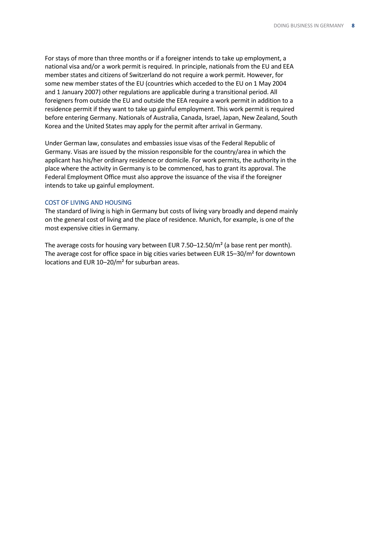For stays of more than three months or if a foreigner intends to take up employment, a national visa and/or a work permit is required. In principle, nationals from the EU and EEA member states and citizens of Switzerland do not require a work permit. However, for some new member states of the EU (countries which acceded to the EU on 1 May 2004 and 1 January 2007) other regulations are applicable during a transitional period. All foreigners from outside the EU and outside the EEA require a work permit in addition to a residence permit if they want to take up gainful employment. This work permit is required before entering Germany. Nationals of Australia, Canada, Israel, Japan, New Zealand, South Korea and the United States may apply for the permit after arrival in Germany.

Under German law, consulates and embassies issue visas of the Federal Republic of Germany. Visas are issued by the mission responsible for the country/area in which the applicant has his/her ordinary residence or domicile. For work permits, the authority in the place where the activity in Germany is to be commenced, has to grant its approval. The Federal Employment Office must also approve the issuance of the visa if the foreigner intends to take up gainful employment.

### COST OF LIVING AND HOUSING

The standard of living is high in Germany but costs of living vary broadly and depend mainly on the general cost of living and the place of residence. Munich, for example, is one of the most expensive cities in Germany.

The average costs for housing vary between EUR 7.50–12.50/m<sup>2</sup> (a base rent per month). The average cost for office space in big cities varies between EUR 15–30/m² for downtown locations and EUR 10–20/m² for suburban areas.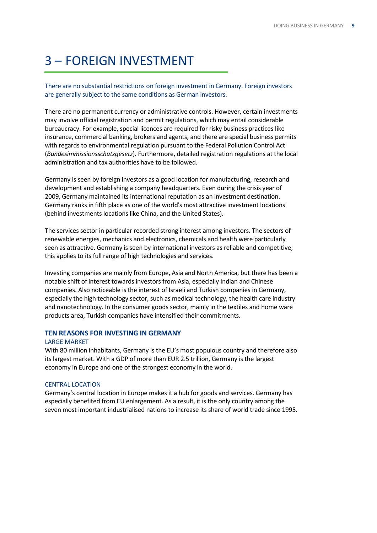# <span id="page-8-0"></span>3 – FOREIGN INVESTMENT

There are no substantial restrictions on foreign investment in Germany. Foreign investors are generally subject to the same conditions as German investors.

There are no permanent currency or administrative controls. However, certain investments may involve official registration and permit regulations, which may entail considerable bureaucracy. For example, special licences are required for risky business practices like insurance, commercial banking, brokers and agents, and there are special business permits with regards to environmental regulation pursuant to the Federal Pollution Control Act (*Bundesimmissionsschutzgesetz*). Furthermore, detailed registration regulations at the local administration and tax authorities have to be followed.

Germany is seen by foreign investors as a good location for manufacturing, research and development and establishing a company headquarters. Even during the crisis year of 2009, Germany maintained its international reputation as an investment destination. Germany ranks in fifth place as one of the world's most attractive investment locations (behind investments locations like China, and the United States).

The services sector in particular recorded strong interest among investors. The sectors of renewable energies, mechanics and electronics, chemicals and health were particularly seen as attractive. Germany is seen by international investors as reliable and competitive; this applies to its full range of high technologies and services.

Investing companies are mainly from Europe, Asia and North America, but there has been a notable shift of interest towards investors from Asia, especially Indian and Chinese companies. Also noticeable is the interest of Israeli and Turkish companies in Germany, especially the high technology sector, such as medical technology, the health care industry and nanotechnology. In the consumer goods sector, mainly in the textiles and home ware products area, Turkish companies have intensified their commitments.

### **TEN REASONS FOR INVESTING IN GERMANY**

### LARGE MARKET

With 80 million inhabitants, Germany is the EU's most populous country and therefore also its largest market. With a GDP of more than EUR 2.5 trillion, Germany is the largest economy in Europe and one of the strongest economy in the world.

### CENTRAL LOCATION

Germany's central location in Europe makes it a hub for goods and services. Germany has especially benefited from EU enlargement. As a result, it is the only country among the seven most important industrialised nations to increase its share of world trade since 1995.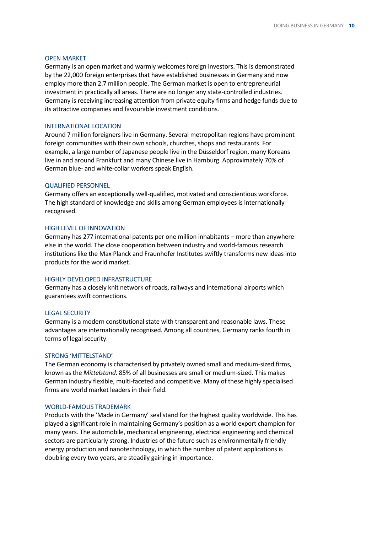### OPEN MARKET

Germany is an open market and warmly welcomes foreign investors. This is demonstrated by the 22,000 foreign enterprises that have established businesses in Germany and now employ more than 2.7 million people. The German market is open to entrepreneurial investment in practically all areas. There are no longer any state-controlled industries. Germany is receiving increasing attention from private equity firms and hedge funds due to its attractive companies and favourable investment conditions.

#### INTERNATIONAL LOCATION

Around 7 million foreigners live in Germany. Several metropolitan regions have prominent foreign communities with their own schools, churches, shops and restaurants. For example, a large number of Japanese people live in the Düsseldorf region, many Koreans live in and around Frankfurt and many Chinese live in Hamburg. Approximately 70% of German blue- and white-collar workers speak English.

### QUALIFIED PERSONNEL

Germany offers an exceptionally well-qualified, motivated and conscientious workforce. The high standard of knowledge and skills among German employees is internationally recognised.

### HIGH LEVEL OF INNOVATION

Germany has 277 international patents per one million inhabitants – more than anywhere else in the world. The close cooperation between industry and world-famous research institutions like the Max Planck and Fraunhofer Institutes swiftly transforms new ideas into products for the world market.

### HIGHLY DEVELOPED INFRASTRUCTURE

Germany has a closely knit network of roads, railways and international airports which guarantees swift connections.

### LEGAL SECURITY

Germany is a modern constitutional state with transparent and reasonable laws. These advantages are internationally recognised. Among all countries, Germany ranks fourth in terms of legal security.

### STRONG 'MITTELSTAND'

The German economy is characterised by privately owned small and medium-sized firms, known as the *Mittelstand*. 85% of all businesses are small or medium-sized. This makes German industry flexible, multi-faceted and competitive. Many of these highly specialised firms are world market leaders in their field.

### WORLD-FAMOUS TRADEMARK

Products with the 'Made in Germany' seal stand for the highest quality worldwide. This has played a significant role in maintaining Germany's position as a world export champion for many years. The automobile, mechanical engineering, electrical engineering and chemical sectors are particularly strong. Industries of the future such as environmentally friendly energy production and nanotechnology, in which the number of patent applications is doubling every two years, are steadily gaining in importance.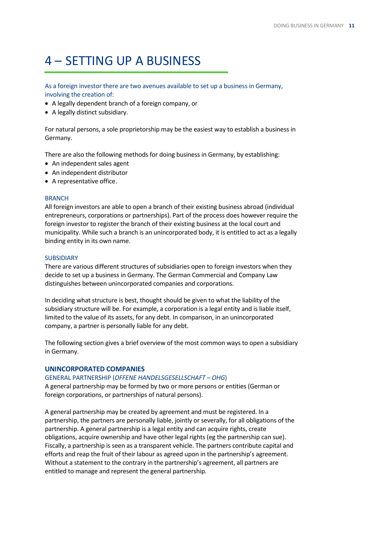# <span id="page-10-0"></span>4 – SETTING UP A BUSINESS

As a foreign investor there are two avenues available to set up a business in Germany, involving the creation of:

- A legally dependent branch of a foreign company, or
- A legally distinct subsidiary.

For natural persons, a sole proprietorship may be the easiest way to establish a business in Germany.

There are also the following methods for doing business in Germany, by establishing:

- An independent sales agent
- An independent distributor
- A representative office.

### **BRANCH**

All foreign investors are able to open a branch of their existing business abroad (individual entrepreneurs, corporations or partnerships). Part of the process does however require the foreign investor to register the branch of their existing business at the local court and municipality. While such a branch is an unincorporated body, it is entitled to act as a legally binding entity in its own name.

### **SUBSIDIARY**

There are various different structures of subsidiaries open to foreign investors when they decide to set up a business in Germany. The German Commercial and Company Law distinguishes between unincorporated companies and corporations.

In deciding what structure is best, thought should be given to what the liability of the subsidiary structure will be. For example, a corporation is a legal entity and is liable itself, limited to the value of its assets, for any debt. In comparison, in an unincorporated company, a partner is personally liable for any debt.

The following section gives a brief overview of the most common ways to open a subsidiary in Germany.

### **UNINCORPORATED COMPANIES**

### GENERAL PARTNERSHIP (*OFFENE HANDELSGESELLSCHAFT* – *OHG*)

A general partnership may be formed by two or more persons or entities (German or foreign corporations, or partnerships of natural persons).

A general partnership may be created by agreement and must be registered. In a partnership, the partners are personally liable, jointly or severally, for all obligations of the partnership. A general partnership is a legal entity and can acquire rights, create obligations, acquire ownership and have other legal rights (eg the partnership can sue). Fiscally, a partnership is seen as a transparent vehicle. The partners contribute capital and efforts and reap the fruit of their labour as agreed upon in the partnership's agreement. Without a statement to the contrary in the partnership's agreement, all partners are entitled to manage and represent the general partnership.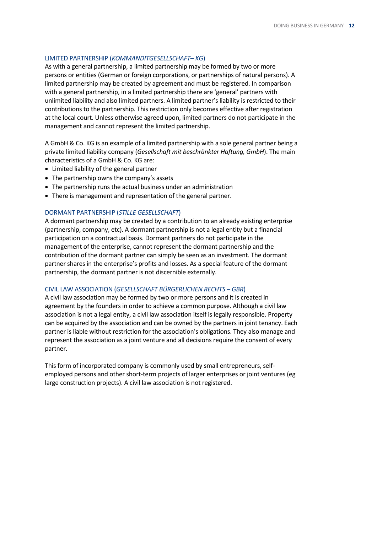### LIMITED PARTNERSHIP (*KOMMANDITGESELLSCHAFT*– *KG*)

As with a general partnership, a limited partnership may be formed by two or more persons or entities (German or foreign corporations, or partnerships of natural persons). A limited partnership may be created by agreement and must be registered. In comparison with a general partnership, in a limited partnership there are 'general' partners with unlimited liability and also limited partners. A limited partner's liability is restricted to their contributions to the partnership. This restriction only becomes effective after registration at the local court. Unless otherwise agreed upon, limited partners do not participate in the management and cannot represent the limited partnership.

A GmbH & Co. KG is an example of a limited partnership with a sole general partner being a private limited liability company (*Gesellschaft mit beschränkter Haftung, GmbH*). The main characteristics of a GmbH & Co. KG are:

- Limited liability of the general partner
- The partnership owns the company's assets
- The partnership runs the actual business under an administration
- There is management and representation of the general partner.

### DORMANT PARTNERSHIP (*STILLE GESELLSCHAFT*)

A dormant partnership may be created by a contribution to an already existing enterprise (partnership, company, etc). A dormant partnership is not a legal entity but a financial participation on a contractual basis. Dormant partners do not participate in the management of the enterprise, cannot represent the dormant partnership and the contribution of the dormant partner can simply be seen as an investment. The dormant partner shares in the enterprise's profits and losses. As a special feature of the dormant partnership, the dormant partner is not discernible externally.

### CIVIL LAW ASSOCIATION (*GESELLSCHAFT BÜRGERLICHEN RECHTS* – *GBR*)

A civil law association may be formed by two or more persons and it is created in agreement by the founders in order to achieve a common purpose. Although a civil law association is not a legal entity, a civil law association itself is legally responsible. Property can be acquired by the association and can be owned by the partners in joint tenancy. Each partner is liable without restriction for the association's obligations. They also manage and represent the association as a joint venture and all decisions require the consent of every partner.

This form of incorporated company is commonly used by small entrepreneurs, selfemployed persons and other short-term projects of larger enterprises or joint ventures (eg large construction projects). A civil law association is not registered.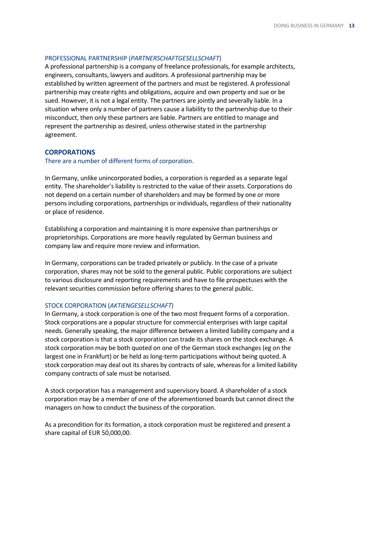### PROFESSIONAL PARTNERSHIP (*PARTNERSCHAFTGESELLSCHAFT*)

A professional partnership is a company of freelance professionals, for example architects, engineers, consultants, lawyers and auditors. A professional partnership may be established by written agreement of the partners and must be registered. A professional partnership may create rights and obligations, acquire and own property and sue or be sued. However, it is not a legal entity. The partners are jointly and severally liable. In a situation where only a number of partners cause a liability to the partnership due to their misconduct, then only these partners are liable. Partners are entitled to manage and represent the partnership as desired, unless otherwise stated in the partnership agreement.

### **CORPORATIONS**

### There are a number of different forms of corporation.

In Germany, unlike unincorporated bodies, a corporation is regarded as a separate legal entity. The shareholder's liability is restricted to the value of their assets. Corporations do not depend on a certain number of shareholders and may be formed by one or more persons including corporations, partnerships or individuals, regardless of their nationality or place of residence.

Establishing a corporation and maintaining it is more expensive than partnerships or proprietorships. Corporations are more heavily regulated by German business and company law and require more review and information.

In Germany, corporations can be traded privately or publicly. In the case of a private corporation, shares may not be sold to the general public. Public corporations are subject to various disclosure and reporting requirements and have to file prospectuses with the relevant securities commission before offering shares to the general public.

### STOCK CORPORATION (*AKTIENGESELLSCHAFT*)

In Germany, a stock corporation is one of the two most frequent forms of a corporation. Stock corporations are a popular structure for commercial enterprises with large capital needs. Generally speaking, the major difference between a limited liability company and a stock corporation is that a stock corporation can trade its shares on the stock exchange. A stock corporation may be both quoted on one of the German stock exchanges (eg on the largest one in Frankfurt) or be held as long-term participations without being quoted. A stock corporation may deal out its shares by contracts of sale, whereas for a limited liability company contracts of sale must be notarised.

A stock corporation has a management and supervisory board. A shareholder of a stock corporation may be a member of one of the aforementioned boards but cannot direct the managers on how to conduct the business of the corporation.

As a precondition for its formation, a stock corporation must be registered and present a share capital of EUR 50,000,00.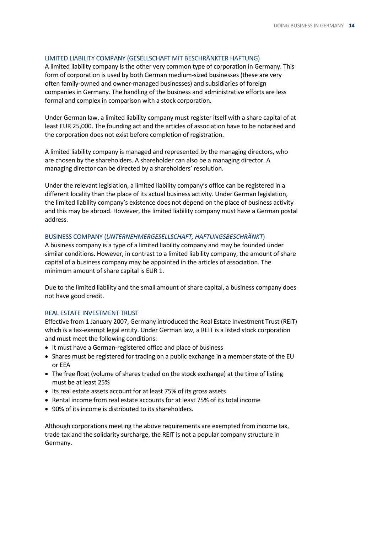### LIMITED LIABILITY COMPANY (GESELLSCHAFT MIT BESCHRÄNKTER HAFTUNG)

A limited liability company is the other very common type of corporation in Germany. This form of corporation is used by both German medium-sized businesses (these are very often family-owned and owner-managed businesses) and subsidiaries of foreign companies in Germany. The handling of the business and administrative efforts are less formal and complex in comparison with a stock corporation.

Under German law, a limited liability company must register itself with a share capital of at least EUR 25,000. The founding act and the articles of association have to be notarised and the corporation does not exist before completion of registration.

A limited liability company is managed and represented by the managing directors, who are chosen by the shareholders. A shareholder can also be a managing director. A managing director can be directed by a shareholders' resolution.

Under the relevant legislation, a limited liability company's office can be registered in a different locality than the place of its actual business activity. Under German legislation, the limited liability company's existence does not depend on the place of business activity and this may be abroad. However, the limited liability company must have a German postal address.

### BUSINESS COMPANY (*UNTERNEHMERGESELLSCHAFT, HAFTUNGSBESCHRÄNKT*)

A business company is a type of a limited liability company and may be founded under similar conditions. However, in contrast to a limited liability company, the amount of share capital of a business company may be appointed in the articles of association. The minimum amount of share capital is EUR 1.

Due to the limited liability and the small amount of share capital, a business company does not have good credit.

### REAL ESTATE INVESTMENT TRUST

Effective from 1 January 2007, Germany introduced the Real Estate Investment Trust (REIT) which is a tax-exempt legal entity. Under German law, a REIT is a listed stock corporation and must meet the following conditions:

- It must have a German-registered office and place of business
- Shares must be registered for trading on a public exchange in a member state of the EU or EEA
- The free float (volume of shares traded on the stock exchange) at the time of listing must be at least 25%
- Its real estate assets account for at least 75% of its gross assets
- Rental income from real estate accounts for at least 75% of its total income
- 90% of its income is distributed to its shareholders.

Although corporations meeting the above requirements are exempted from income tax, trade tax and the solidarity surcharge, the REIT is not a popular company structure in Germany.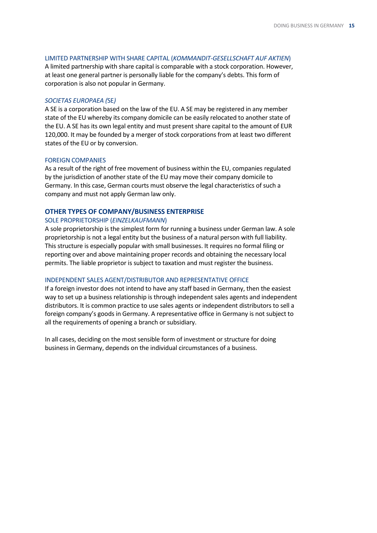### LIMITED PARTNERSHIP WITH SHARE CAPITAL (*KOMMANDIT-GESELLSCHAFT AUF AKTIEN*)

A limited partnership with share capital is comparable with a stock corporation. However, at least one general partner is personally liable for the company's debts. This form of corporation is also not popular in Germany.

### *SOCIETAS EUROPAEA (*SE*)*

A SE is a corporation based on the law of the EU. A SE may be registered in any member state of the EU whereby its company domicile can be easily relocated to another state of the EU. A SE has its own legal entity and must present share capital to the amount of EUR 120,000. It may be founded by a merger of stock corporations from at least two different states of the EU or by conversion.

### FOREIGN COMPANIES

As a result of the right of free movement of business within the EU, companies regulated by the jurisdiction of another state of the EU may move their company domicile to Germany. In this case, German courts must observe the legal characteristics of such a company and must not apply German law only.

## **OTHER TYPES OF COMPANY/BUSINESS ENTERPRISE**

### SOLE PROPRIETORSHIP (*EINZELKAUFMANN*)

A sole proprietorship is the simplest form for running a business under German law. A sole proprietorship is not a legal entity but the business of a natural person with full liability. This structure is especially popular with small businesses. It requires no formal filing or reporting over and above maintaining proper records and obtaining the necessary local permits. The liable proprietor is subject to taxation and must register the business.

### INDEPENDENT SALES AGENT/DISTRIBUTOR AND REPRESENTATIVE OFFICE

If a foreign investor does not intend to have any staff based in Germany, then the easiest way to set up a business relationship is through independent sales agents and independent distributors. It is common practice to use sales agents or independent distributors to sell a foreign company's goods in Germany. A representative office in Germany is not subject to all the requirements of opening a branch or subsidiary.

In all cases, deciding on the most sensible form of investment or structure for doing business in Germany, depends on the individual circumstances of a business.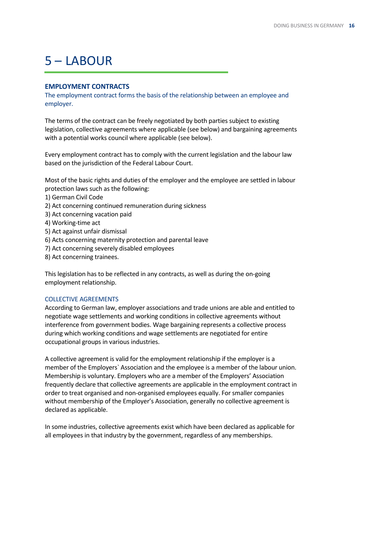# <span id="page-15-0"></span> $5 - IABOLIR$

## **EMPLOYMENT CONTRACTS**

The employment contract forms the basis of the relationship between an employee and employer.

The terms of the contract can be freely negotiated by both parties subject to existing legislation, collective agreements where applicable (see below) and bargaining agreements with a potential works council where applicable (see below).

Every employment contract has to comply with the current legislation and the labour law based on the jurisdiction of the Federal Labour Court.

Most of the basic rights and duties of the employer and the employee are settled in labour protection laws such as the following:

- 1) German Civil Code
- 2) Act concerning continued remuneration during sickness
- 3) Act concerning vacation paid
- 4) Working-time act
- 5) Act against unfair dismissal
- 6) Acts concerning maternity protection and parental leave
- 7) Act concerning severely disabled employees
- 8) Act concerning trainees.

This legislation has to be reflected in any contracts, as well as during the on-going employment relationship.

### COLLECTIVE AGREEMENTS

According to German law, employer associations and trade unions are able and entitled to negotiate wage settlements and working conditions in collective agreements without interference from government bodies. Wage bargaining represents a collective process during which working conditions and wage settlements are negotiated for entire occupational groups in various industries.

A collective agreement is valid for the employment relationship if the employer is a member of the Employers` Association and the employee is a member of the labour union. Membership is voluntary. Employers who are a member of the Employers' Association frequently declare that collective agreements are applicable in the employment contract in order to treat organised and non-organised employees equally. For smaller companies without membership of the Employer's Association, generally no collective agreement is declared as applicable.

In some industries, collective agreements exist which have been declared as applicable for all employees in that industry by the government, regardless of any memberships.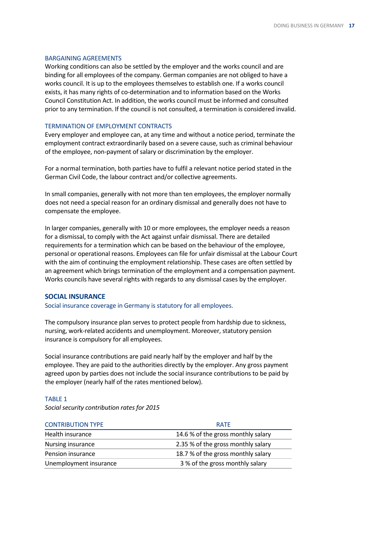### BARGAINING AGREEMENTS

Working conditions can also be settled by the employer and the works council and are binding for all employees of the company. German companies are not obliged to have a works council. It is up to the employees themselves to establish one. If a works council exists, it has many rights of co-determination and to information based on the Works Council Constitution Act. In addition, the works council must be informed and consulted prior to any termination. If the council is not consulted, a termination is considered invalid.

### TERMINATION OF EMPLOYMENT CONTRACTS

Every employer and employee can, at any time and without a notice period, terminate the employment contract extraordinarily based on a severe cause, such as criminal behaviour of the employee, non-payment of salary or discrimination by the employer.

For a normal termination, both parties have to fulfil a relevant notice period stated in the German Civil Code, the labour contract and/or collective agreements.

In small companies, generally with not more than ten employees, the employer normally does not need a special reason for an ordinary dismissal and generally does not have to compensate the employee.

In larger companies, generally with 10 or more employees, the employer needs a reason for a dismissal, to comply with the Act against unfair dismissal. There are detailed requirements for a termination which can be based on the behaviour of the employee, personal or operational reasons. Employees can file for unfair dismissal at the Labour Court with the aim of continuing the employment relationship. These cases are often settled by an agreement which brings termination of the employment and a compensation payment. Works councils have several rights with regards to any dismissal cases by the employer.

### **SOCIAL INSURANCE**

Social insurance coverage in Germany is statutory for all employees.

The compulsory insurance plan serves to protect people from hardship due to sickness, nursing, work-related accidents and unemployment. Moreover, statutory pension insurance is compulsory for all employees.

Social insurance contributions are paid nearly half by the employer and half by the employee. They are paid to the authorities directly by the employer. Any gross payment agreed upon by parties does not include the social insurance contributions to be paid by the employer (nearly half of the rates mentioned below).

### TABLE 1

*Social security contribution rates for 2015*

| <b>CONTRIBUTION TYPE</b> | <b>RATE</b>                        |  |
|--------------------------|------------------------------------|--|
| Health insurance         | 14.6 % of the gross monthly salary |  |
| Nursing insurance        | 2.35 % of the gross monthly salary |  |
| Pension insurance        | 18.7 % of the gross monthly salary |  |
| Unemployment insurance   | 3 % of the gross monthly salary    |  |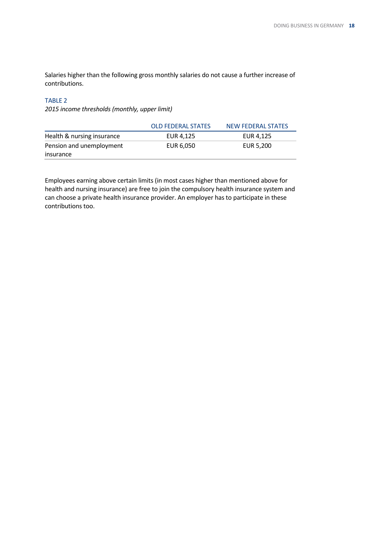Salaries higher than the following gross monthly salaries do not cause a further increase of contributions.

# TABLE 2

*2015 income thresholds (monthly, upper limit)*

|                            | <b>OLD FEDERAL STATES</b> | NEW FEDERAL STATES |
|----------------------------|---------------------------|--------------------|
| Health & nursing insurance | EUR 4.125                 | EUR 4.125          |
| Pension and unemployment   | EUR 6,050                 | EUR 5,200          |
| insurance                  |                           |                    |

Employees earning above certain limits (in most cases higher than mentioned above for health and nursing insurance) are free to join the compulsory health insurance system and can choose a private health insurance provider. An employer has to participate in these contributions too.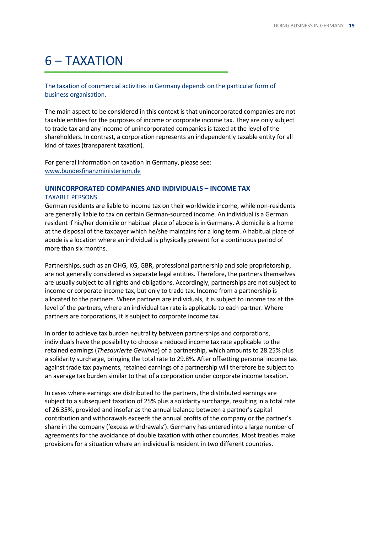# <span id="page-18-0"></span>6 – TAXATION

The taxation of commercial activities in Germany depends on the particular form of business organisation.

The main aspect to be considered in this context is that unincorporated companies are not taxable entities for the purposes of income or corporate income tax. They are only subject to trade tax and any income of unincorporated companies is taxed at the level of the shareholders. In contrast, a corporation represents an independently taxable entity for all kind of taxes (transparent taxation).

For general information on taxation in Germany, please see: [www.bundesfinanzministerium.de](http://www.bundesfinanzministerium.de/)

### **UNINCORPORATED COMPANIES AND INDIVIDUALS – INCOME TAX**

### TAXABLE PERSONS

German residents are liable to income tax on their worldwide income, while non-residents are generally liable to tax on certain German-sourced income. An individual is a German resident if his/her domicile or habitual place of abode is in Germany. A domicile is a home at the disposal of the taxpayer which he/she maintains for a long term. A habitual place of abode is a location where an individual is physically present for a continuous period of more than six months.

Partnerships, such as an OHG, KG, GBR, professional partnership and sole proprietorship, are not generally considered as separate legal entities. Therefore, the partners themselves are usually subject to all rights and obligations. Accordingly, partnerships are not subject to income or corporate income tax, but only to trade tax. Income from a partnership is allocated to the partners. Where partners are individuals, it is subject to income tax at the level of the partners, where an individual tax rate is applicable to each partner. Where partners are corporations, it is subject to corporate income tax.

In order to achieve tax burden neutrality between partnerships and corporations, individuals have the possibility to choose a reduced income tax rate applicable to the retained earnings (*Thesaurierte Gewinne*) of a partnership, which amounts to 28.25% plus a solidarity surcharge, bringing the total rate to 29.8%. After offsetting personal income tax against trade tax payments, retained earnings of a partnership will therefore be subject to an average tax burden similar to that of a corporation under corporate income taxation.

In cases where earnings are distributed to the partners, the distributed earnings are subject to a subsequent taxation of 25% plus a solidarity surcharge, resulting in a total rate of 26.35%, provided and insofar as the annual balance between a partner's capital contribution and withdrawals exceeds the annual profits of the company or the partner's share in the company ('excess withdrawals'). Germany has entered into a large number of agreements for the avoidance of double taxation with other countries. Most treaties make provisions for a situation where an individual is resident in two different countries.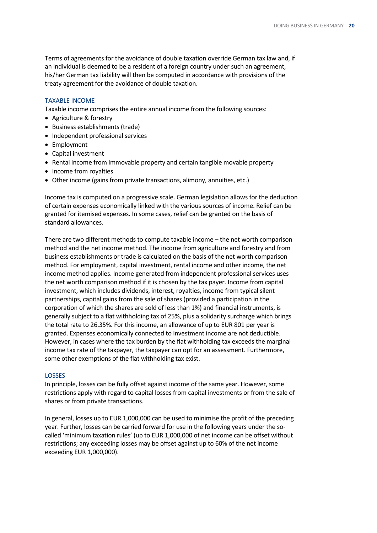Terms of agreements for the avoidance of double taxation override German tax law and, if an individual is deemed to be a resident of a foreign country under such an agreement, his/her German tax liability will then be computed in accordance with provisions of the treaty agreement for the avoidance of double taxation.

### TAXABLE INCOME

Taxable income comprises the entire annual income from the following sources:

- Agriculture & forestry
- Business establishments (trade)
- Independent professional services
- Employment
- Capital investment
- Rental income from immovable property and certain tangible movable property
- Income from royalties
- Other income (gains from private transactions, alimony, annuities, etc.)

Income tax is computed on a progressive scale. German legislation allows for the deduction of certain expenses economically linked with the various sources of income. Relief can be granted for itemised expenses. In some cases, relief can be granted on the basis of standard allowances.

There are two different methods to compute taxable income – the net worth comparison method and the net income method. The income from agriculture and forestry and from business establishments or trade is calculated on the basis of the net worth comparison method. For employment, capital investment, rental income and other income, the net income method applies. Income generated from independent professional services uses the net worth comparison method if it is chosen by the tax payer. Income from capital investment, which includes dividends, interest, royalties, income from typical silent partnerships, capital gains from the sale of shares (provided a participation in the corporation of which the shares are sold of less than 1%) and financial instruments, is generally subject to a flat withholding tax of 25%, plus a solidarity surcharge which brings the total rate to 26.35%. For this income, an allowance of up to EUR 801 per year is granted. Expenses economically connected to investment income are not deductible. However, in cases where the tax burden by the flat withholding tax exceeds the marginal income tax rate of the taxpayer, the taxpayer can opt for an assessment. Furthermore, some other exemptions of the flat withholding tax exist.

### LOSSES

In principle, losses can be fully offset against income of the same year. However, some restrictions apply with regard to capital losses from capital investments or from the sale of shares or from private transactions.

In general, losses up to EUR 1,000,000 can be used to minimise the profit of the preceding year. Further, losses can be carried forward for use in the following years under the socalled 'minimum taxation rules' (up to EUR 1,000,000 of net income can be offset without restrictions; any exceeding losses may be offset against up to 60% of the net income exceeding EUR 1,000,000).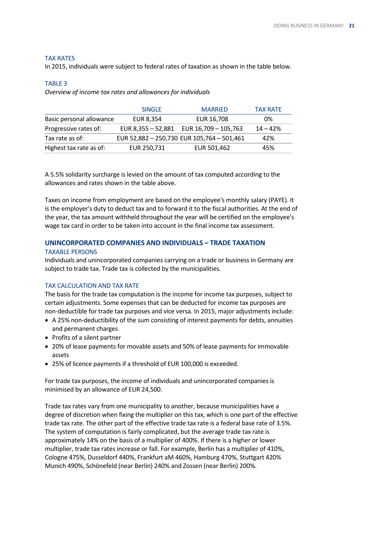### TAX RATES

In 2015, individuals were subject to federal rates of taxation as shown in the table below.

### TABLE 3

*Overview of income tax rates and allowances for individuals*

|                          | <b>SINGLE</b> | <b>MARRIED</b>                             | <b>TAX RATE</b> |
|--------------------------|---------------|--------------------------------------------|-----------------|
| Basic personal allowance | EUR 8,354     | EUR 16,708                                 | 0%              |
| Progressive rates of:    |               | EUR 8,355 - 52,881 EUR $16,709 - 105,763$  | $14 - 42%$      |
| Tax rate as of:          |               | EUR 52,882 - 250,730 EUR 105,764 - 501,461 | 42%             |
| Highest tax rate as of:  | EUR 250,731   | EUR 501,462                                | 45%             |

A 5.5% solidarity surcharge is levied on the amount of tax computed according to the allowances and rates shown in the table above.

Taxes on income from employment are based on the employee's monthly salary (PAYE). It is the employer's duty to deduct tax and to forward it to the fiscal authorities. At the end of the year, the tax amount withheld throughout the year will be certified on the employee's wage tax card in order to be taken into account in the final income tax assessment.

# **UNINCORPORATED COMPANIES AND INDIVIDUALS – TRADE TAXATION**

#### TAXABLE PERSONS

Individuals and unincorporated companies carrying on a trade or business in Germany are subject to trade tax. Trade tax is collected by the municipalities.

### TAX CALCULATION AND TAX RATE

The basis for the trade tax computation is the income for income tax purposes, subject to certain adjustments. Some expenses that can be deducted for income tax purposes are non-deductible for trade tax purposes and vice versa. In 2015, major adjustments include:

- A 25% non-deductibility of the sum consisting of interest payments for debts, annuities and permanent charges
- Profits of a silent partner
- 20% of lease payments for movable assets and 50% of lease payments for immovable assets
- 25% of licence payments if a threshold of EUR 100,000 is exceeded.

For trade tax purposes, the income of individuals and unincorporated companies is minimised by an allowance of EUR 24,500.

Trade tax rates vary from one municipality to another, because municipalities have a degree of discretion when fixing the multiplier on this tax, which is one part of the effective trade tax rate. The other part of the effective trade tax rate is a federal base rate of 3.5%. The system of computation is fairly complicated, but the average trade tax rate is approximately 14% on the basis of a multiplier of 400%. If there is a higher or lower multiplier, trade tax rates increase or fall. For example, Berlin has a multiplier of 410%, Cologne 475%, Dusseldorf 440%, Frankfurt aM 460%, Hamburg 470%, Stuttgart 420% Munich 490%, Schönefeld (near Berlin) 240% and Zossen (near Berlin) 200%.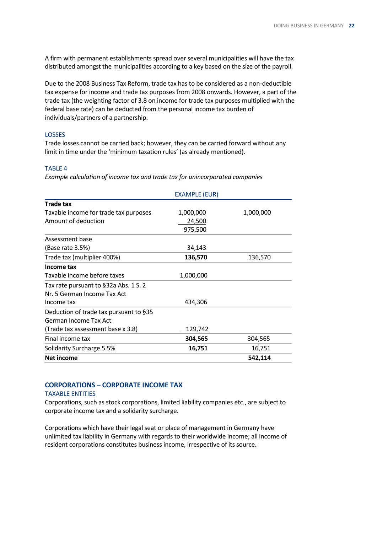A firm with permanent establishments spread over several municipalities will have the tax distributed amongst the municipalities according to a key based on the size of the payroll.

Due to the 2008 Business Tax Reform, trade tax has to be considered as a non-deductible tax expense for income and trade tax purposes from 2008 onwards. However, a part of the trade tax (the weighting factor of 3.8 on income for trade tax purposes multiplied with the federal base rate) can be deducted from the personal income tax burden of individuals/partners of a partnership.

### LOSSES

Trade losses cannot be carried back; however, they can be carried forward without any limit in time under the 'minimum taxation rules' (as already mentioned).

### TABLE 4

*Example calculation of income tax and trade tax for unincorporated companies*

|                                        | <b>EXAMPLE (EUR)</b> |           |
|----------------------------------------|----------------------|-----------|
| <b>Trade tax</b>                       |                      |           |
| Taxable income for trade tax purposes  | 1,000,000            | 1,000,000 |
| Amount of deduction                    | 24,500               |           |
|                                        | 975,500              |           |
| Assessment base                        |                      |           |
| (Base rate 3.5%)                       | 34,143               |           |
| Trade tax (multiplier 400%)            | 136,570              | 136,570   |
| Income tax                             |                      |           |
| Taxable income before taxes            | 1,000,000            |           |
| Tax rate pursuant to §32a Abs. 1 S. 2  |                      |           |
| Nr. 5 German Income Tax Act            |                      |           |
| Income tax                             | 434,306              |           |
| Deduction of trade tax pursuant to §35 |                      |           |
| German Income Tax Act                  |                      |           |
| (Trade tax assessment base x 3.8)      | <u>129,742</u>       |           |
| Final income tax                       | 304,565              | 304,565   |
| Solidarity Surcharge 5.5%              | 16,751               | 16,751    |
| Net income                             |                      | 542,114   |

# **CORPORATIONS – CORPORATE INCOME TAX**

### TAXABLE ENTITIES

Corporations, such as stock corporations, limited liability companies etc., are subject to corporate income tax and a solidarity surcharge.

Corporations which have their legal seat or place of management in Germany have unlimited tax liability in Germany with regards to their worldwide income; all income of resident corporations constitutes business income, irrespective of its source.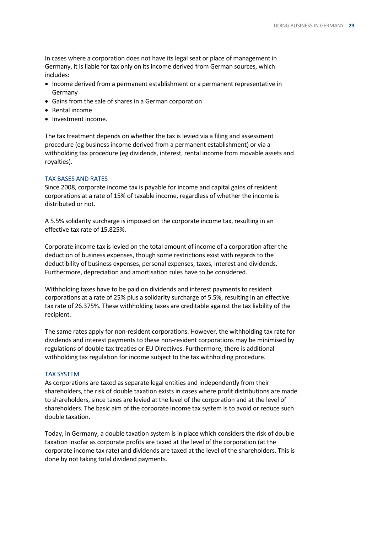In cases where a corporation does not have its legal seat or place of management in Germany, it is liable for tax only on its income derived from German sources, which includes:

- Income derived from a permanent establishment or a permanent representative in Germany
- Gains from the sale of shares in a German corporation
- Rental income
- Investment income.

The tax treatment depends on whether the tax is levied via a filing and assessment procedure (eg business income derived from a permanent establishment) or via a withholding tax procedure (eg dividends, interest, rental income from movable assets and royalties).

## TAX BASES AND RATES

Since 2008, corporate income tax is payable for income and capital gains of resident corporations at a rate of 15% of taxable income, regardless of whether the income is distributed or not.

A 5.5% solidarity surcharge is imposed on the corporate income tax, resulting in an effective tax rate of 15.825%.

Corporate income tax is levied on the total amount of income of a corporation after the deduction of business expenses, though some restrictions exist with regards to the deductibility of business expenses, personal expenses, taxes, interest and dividends. Furthermore, depreciation and amortisation rules have to be considered.

Withholding taxes have to be paid on dividends and interest payments to resident corporations at a rate of 25% plus a solidarity surcharge of 5.5%, resulting in an effective tax rate of 26.375%. These withholding taxes are creditable against the tax liability of the recipient.

The same rates apply for non-resident corporations. However, the withholding tax rate for dividends and interest payments to these non-resident corporations may be minimised by regulations of double tax treaties or EU Directives. Furthermore, there is additional withholding tax regulation for income subject to the tax withholding procedure.

### TAX SYSTEM

As corporations are taxed as separate legal entities and independently from their shareholders, the risk of double taxation exists in cases where profit distributions are made to shareholders, since taxes are levied at the level of the corporation and at the level of shareholders. The basic aim of the corporate income tax system is to avoid or reduce such double taxation.

Today, in Germany, a double taxation system is in place which considers the risk of double taxation insofar as corporate profits are taxed at the level of the corporation (at the corporate income tax rate) and dividends are taxed at the level of the shareholders. This is done by not taking total dividend payments.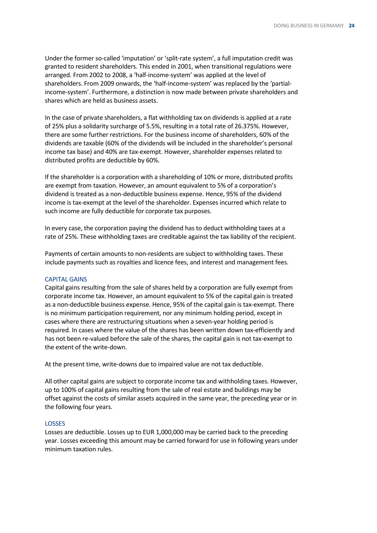Under the former so-called 'imputation' or 'split-rate system', a full imputation credit was granted to resident shareholders. This ended in 2001, when transitional regulations were arranged. From 2002 to 2008, a 'half-income-system' was applied at the level of shareholders. From 2009 onwards, the 'half-income-system' was replaced by the 'partialincome-system'. Furthermore, a distinction is now made between private shareholders and shares which are held as business assets.

In the case of private shareholders, a flat withholding tax on dividends is applied at a rate of 25% plus a solidarity surcharge of 5.5%, resulting in a total rate of 26.375%. However, there are some further restrictions. For the business income of shareholders, 60% of the dividends are taxable (60% of the dividends will be included in the shareholder's personal income tax base) and 40% are tax-exempt. However, shareholder expenses related to distributed profits are deductible by 60%.

If the shareholder is a corporation with a shareholding of 10% or more, distributed profits are exempt from taxation. However, an amount equivalent to 5% of a corporation's dividend is treated as a non-deductible business expense. Hence, 95% of the dividend income is tax-exempt at the level of the shareholder. Expenses incurred which relate to such income are fully deductible for corporate tax purposes.

In every case, the corporation paying the dividend has to deduct withholding taxes at a rate of 25%. These withholding taxes are creditable against the tax liability of the recipient.

Payments of certain amounts to non-residents are subject to withholding taxes. These include payments such as royalties and licence fees, and interest and management fees.

### CAPITAL GAINS

Capital gains resulting from the sale of shares held by a corporation are fully exempt from corporate income tax. However, an amount equivalent to 5% of the capital gain is treated as a non-deductible business expense. Hence, 95% of the capital gain is tax-exempt. There is no minimum participation requirement, nor any minimum holding period, except in cases where there are restructuring situations when a seven-year holding period is required. In cases where the value of the shares has been written down tax-efficiently and has not been re-valued before the sale of the shares, the capital gain is not tax-exempt to the extent of the write-down.

At the present time, write-downs due to impaired value are not tax deductible.

All other capital gains are subject to corporate income tax and withholding taxes. However, up to 100% of capital gains resulting from the sale of real estate and buildings may be offset against the costs of similar assets acquired in the same year, the preceding year or in the following four years.

### LOSSES

Losses are deductible. Losses up to EUR 1,000,000 may be carried back to the preceding year. Losses exceeding this amount may be carried forward for use in following years under minimum taxation rules.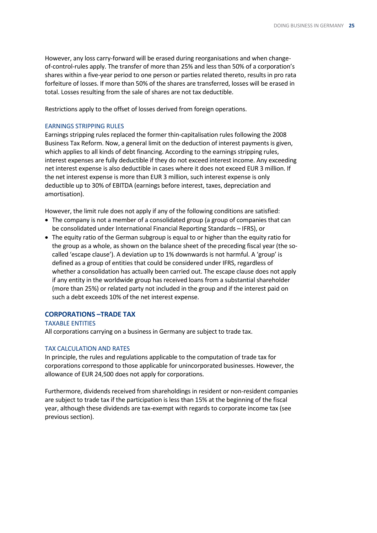However, any loss carry-forward will be erased during reorganisations and when changeof-control-rules apply. The transfer of more than 25% and less than 50% of a corporation's shares within a five-year period to one person or parties related thereto, results in pro rata forfeiture of losses. If more than 50% of the shares are transferred, losses will be erased in total. Losses resulting from the sale of shares are not tax deductible.

Restrictions apply to the offset of losses derived from foreign operations.

### EARNINGS STRIPPING RULES

Earnings stripping rules replaced the former thin-capitalisation rules following the 2008 Business Tax Reform. Now, a general limit on the deduction of interest payments is given, which applies to all kinds of debt financing. According to the earnings stripping rules, interest expenses are fully deductible if they do not exceed interest income. Any exceeding net interest expense is also deductible in cases where it does not exceed EUR 3 million. If the net interest expense is more than EUR 3 million, such interest expense is only deductible up to 30% of EBITDA (earnings before interest, taxes, depreciation and amortisation).

However, the limit rule does not apply if any of the following conditions are satisfied:

- The company is not a member of a consolidated group (a group of companies that can be consolidated under International Financial Reporting Standards – IFRS), or
- The equity ratio of the German subgroup is equal to or higher than the equity ratio for the group as a whole, as shown on the balance sheet of the preceding fiscal year (the socalled 'escape clause'). A deviation up to 1% downwards is not harmful. A 'group' is defined as a group of entities that could be considered under IFRS, regardless of whether a consolidation has actually been carried out. The escape clause does not apply if any entity in the worldwide group has received loans from a substantial shareholder (more than 25%) or related party not included in the group and if the interest paid on such a debt exceeds 10% of the net interest expense.

# **CORPORATIONS –TRADE TAX**

TAXABLE ENTITIES All corporations carrying on a business in Germany are subject to trade tax.

## TAX CALCULATION AND RATES

In principle, the rules and regulations applicable to the computation of trade tax for corporations correspond to those applicable for unincorporated businesses. However, the allowance of EUR 24,500 does not apply for corporations.

Furthermore, dividends received from shareholdings in resident or non-resident companies are subject to trade tax if the participation is less than 15% at the beginning of the fiscal year, although these dividends are tax-exempt with regards to corporate income tax (see previous section).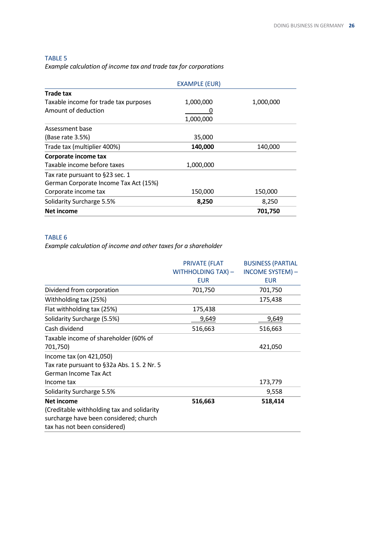# TABLE 5

*Example calculation of income tax and trade tax for corporations*

|                                       | <b>EXAMPLE (EUR)</b> |           |
|---------------------------------------|----------------------|-----------|
| Trade tax                             |                      |           |
| Taxable income for trade tax purposes | 1,000,000            | 1,000,000 |
| Amount of deduction                   |                      |           |
|                                       | 1,000,000            |           |
| Assessment base                       |                      |           |
| (Base rate 3.5%)                      | 35,000               |           |
| Trade tax (multiplier 400%)           | 140,000              | 140,000   |
| Corporate income tax                  |                      |           |
| Taxable income before taxes           | 1,000,000            |           |
| Tax rate pursuant to §23 sec. 1       |                      |           |
| German Corporate Income Tax Act (15%) |                      |           |
| Corporate income tax                  | 150,000              | 150,000   |
| Solidarity Surcharge 5.5%             | 8,250                | 8,250     |
| <b>Net income</b>                     |                      | 701,750   |

# TABLE 6

*Example calculation of income and other taxes for a shareholder*

|                                             | <b>PRIVATE (FLAT</b> | <b>BUSINESS (PARTIAL</b> |
|---------------------------------------------|----------------------|--------------------------|
|                                             | WITHHOLDING TAX) -   | <b>INCOME SYSTEM)-</b>   |
|                                             | <b>EUR</b>           | <b>EUR</b>               |
| Dividend from corporation                   | 701,750              | 701,750                  |
| Withholding tax (25%)                       |                      | 175,438                  |
| Flat withholding tax (25%)                  | 175,438              |                          |
| Solidarity Surcharge (5.5%)                 | 9,649                | 9,649                    |
| Cash dividend                               | 516,663              | 516,663                  |
| Taxable income of shareholder (60% of       |                      |                          |
| 701,750)                                    |                      | 421,050                  |
| Income tax (on 421,050)                     |                      |                          |
| Tax rate pursuant to §32a Abs. 1 S. 2 Nr. 5 |                      |                          |
| German Income Tax Act                       |                      |                          |
| Income tax                                  |                      | 173,779                  |
| Solidarity Surcharge 5.5%                   |                      | 9,558                    |
| Net income                                  | 516,663              | 518,414                  |
| (Creditable withholding tax and solidarity  |                      |                          |
| surcharge have been considered; church      |                      |                          |
| tax has not been considered)                |                      |                          |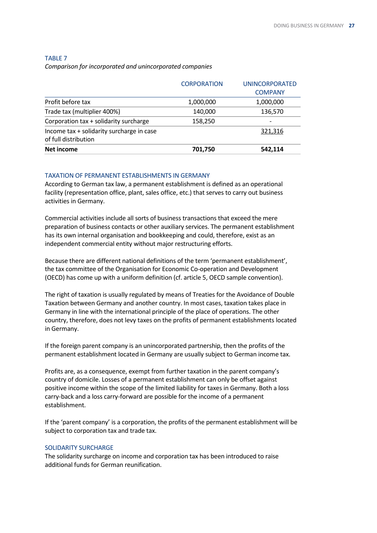### TABLE 7

*Comparison for incorporated and unincorporated companies*

|                                                                   | <b>CORPORATION</b> | <b>UNINCORPORATED</b> |
|-------------------------------------------------------------------|--------------------|-----------------------|
|                                                                   |                    | <b>COMPANY</b>        |
| Profit before tax                                                 | 1,000,000          | 1,000,000             |
| Trade tax (multiplier 400%)                                       | 140,000            | 136,570               |
| Corporation tax + solidarity surcharge                            | 158,250            |                       |
| Income tax + solidarity surcharge in case<br>of full distribution |                    | 321,316               |
| Net income                                                        | 701,750            | 542,114               |

### TAXATION OF PERMANENT ESTABLISHMENTS IN GERMANY

According to German tax law, a permanent establishment is defined as an operational facility (representation office, plant, sales office, etc.) that serves to carry out business activities in Germany.

Commercial activities include all sorts of business transactions that exceed the mere preparation of business contacts or other auxiliary services. The permanent establishment has its own internal organisation and bookkeeping and could, therefore, exist as an independent commercial entity without major restructuring efforts.

Because there are different national definitions of the term 'permanent establishment', the tax committee of the Organisation for Economic Co-operation and Development (OECD) has come up with a uniform definition (cf. article 5, OECD sample convention).

The right of taxation is usually regulated by means of Treaties for the Avoidance of Double Taxation between Germany and another country. In most cases, taxation takes place in Germany in line with the international principle of the place of operations. The other country, therefore, does not levy taxes on the profits of permanent establishments located in Germany.

If the foreign parent company is an unincorporated partnership, then the profits of the permanent establishment located in Germany are usually subject to German income tax.

Profits are, as a consequence, exempt from further taxation in the parent company's country of domicile. Losses of a permanent establishment can only be offset against positive income within the scope of the limited liability for taxes in Germany. Both a loss carry-back and a loss carry-forward are possible for the income of a permanent establishment.

If the 'parent company' is a corporation, the profits of the permanent establishment will be subject to corporation tax and trade tax.

### SOLIDARITY SURCHARGE

The solidarity surcharge on income and corporation tax has been introduced to raise additional funds for German reunification.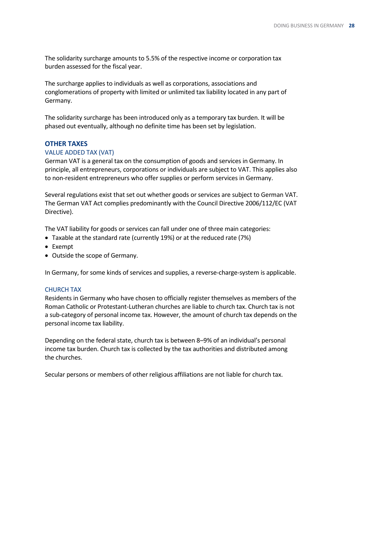The solidarity surcharge amounts to 5.5% of the respective income or corporation tax burden assessed for the fiscal year.

The surcharge applies to individuals as well as corporations, associations and conglomerations of property with limited or unlimited tax liability located in any part of Germany.

The solidarity surcharge has been introduced only as a temporary tax burden. It will be phased out eventually, although no definite time has been set by legislation.

### **OTHER TAXES**

### VALUE ADDED TAX (VAT)

German VAT is a general tax on the consumption of goods and services in Germany. In principle, all entrepreneurs, corporations or individuals are subject to VAT. This applies also to non-resident entrepreneurs who offer supplies or perform services in Germany.

Several regulations exist that set out whether goods or services are subject to German VAT. The German VAT Act complies predominantly with the Council Directive 2006/112/EC (VAT Directive).

The VAT liability for goods or services can fall under one of three main categories:

- Taxable at the standard rate (currently 19%) or at the reduced rate (7%)
- Exempt
- Outside the scope of Germany.

In Germany, for some kinds of services and supplies, a reverse-charge-system is applicable.

### CHURCH TAX

Residents in Germany who have chosen to officially register themselves as members of the Roman Catholic or Protestant-Lutheran churches are liable to church tax. Church tax is not a sub-category of personal income tax. However, the amount of church tax depends on the personal income tax liability.

Depending on the federal state, church tax is between 8–9% of an individual's personal income tax burden. Church tax is collected by the tax authorities and distributed among the churches.

Secular persons or members of other religious affiliations are not liable for church tax.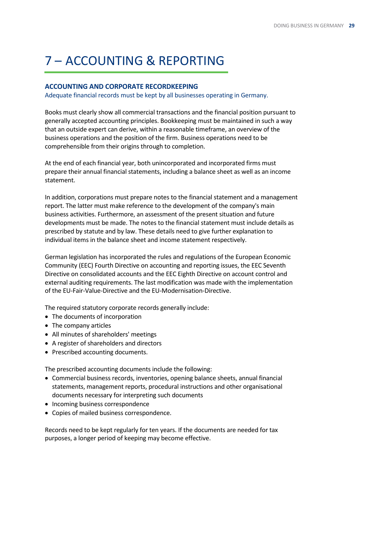# <span id="page-28-0"></span>7 – ACCOUNTING & REPORTING

# **ACCOUNTING AND CORPORATE RECORDKEEPING**

Adequate financial records must be kept by all businesses operating in Germany.

Books must clearly show all commercial transactions and the financial position pursuant to generally accepted accounting principles. Bookkeeping must be maintained in such a way that an outside expert can derive, within a reasonable timeframe, an overview of the business operations and the position of the firm. Business operations need to be comprehensible from their origins through to completion.

At the end of each financial year, both unincorporated and incorporated firms must prepare their annual financial statements, including a balance sheet as well as an income statement.

In addition, corporations must prepare notes to the financial statement and a management report. The latter must make reference to the development of the company's main business activities. Furthermore, an assessment of the present situation and future developments must be made. The notes to the financial statement must include details as prescribed by statute and by law. These details need to give further explanation to individual items in the balance sheet and income statement respectively.

German legislation has incorporated the rules and regulations of the European Economic Community (EEC) Fourth Directive on accounting and reporting issues, the EEC Seventh Directive on consolidated accounts and the EEC Eighth Directive on account control and external auditing requirements. The last modification was made with the implementation of the EU-Fair-Value-Directive and the EU-Modernisation-Directive.

The required statutory corporate records generally include:

- The documents of incorporation
- The company articles
- All minutes of shareholders' meetings
- A register of shareholders and directors
- Prescribed accounting documents.

The prescribed accounting documents include the following:

- Commercial business records, inventories, opening balance sheets, annual financial statements, management reports, procedural instructions and other organisational documents necessary for interpreting such documents
- Incoming business correspondence
- Copies of mailed business correspondence.

Records need to be kept regularly for ten years. If the documents are needed for tax purposes, a longer period of keeping may become effective.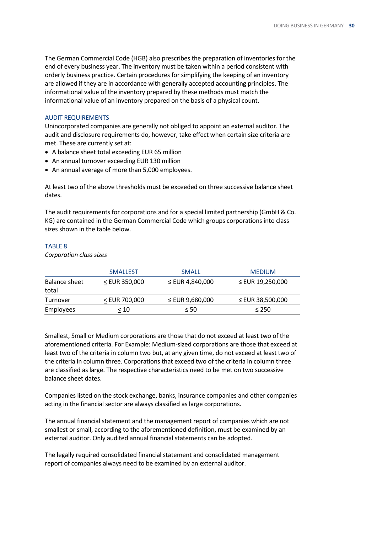The German Commercial Code (HGB) also prescribes the preparation of inventories for the end of every business year. The inventory must be taken within a period consistent with orderly business practice. Certain procedures for simplifying the keeping of an inventory are allowed if they are in accordance with generally accepted accounting principles. The informational value of the inventory prepared by these methods must match the informational value of an inventory prepared on the basis of a physical count.

### AUDIT REQUIREMENTS

Unincorporated companies are generally not obliged to appoint an external auditor. The audit and disclosure requirements do, however, take effect when certain size criteria are met. These are currently set at:

- A balance sheet total exceeding EUR 65 million
- An annual turnover exceeding EUR 130 million
- An annual average of more than 5,000 employees.

At least two of the above thresholds must be exceeded on three successive balance sheet dates.

The audit requirements for corporations and for a special limited partnership (GmbH & Co. KG) are contained in the German Commercial Code which groups corporations into class sizes shown in the table below.

### TABLE 8

*Corporation class sizes*

|                        | <b>SMALLEST</b> | <b>SMALL</b>         | <b>MEDIUM</b>    |
|------------------------|-----------------|----------------------|------------------|
| Balance sheet<br>total | $<$ EUR 350,000 | $\leq$ EUR 4,840,000 | ≤ EUR 19,250,000 |
| Turnover               | < EUR 700,000   | $\leq$ EUR 9,680,000 | ≤ EUR 38,500,000 |
| Employees              | < 10            | $\leq 50$            | $\leq 250$       |

Smallest, Small or Medium corporations are those that do not exceed at least two of the aforementioned criteria. For Example: Medium-sized corporations are those that exceed at least two of the criteria in column two but, at any given time, do not exceed at least two of the criteria in column three. Corporations that exceed two of the criteria in column three are classified as large. The respective characteristics need to be met on two successive balance sheet dates.

Companies listed on the stock exchange, banks, insurance companies and other companies acting in the financial sector are always classified as large corporations.

The annual financial statement and the management report of companies which are not smallest or small, according to the aforementioned definition, must be examined by an external auditor. Only audited annual financial statements can be adopted.

The legally required consolidated financial statement and consolidated management report of companies always need to be examined by an external auditor.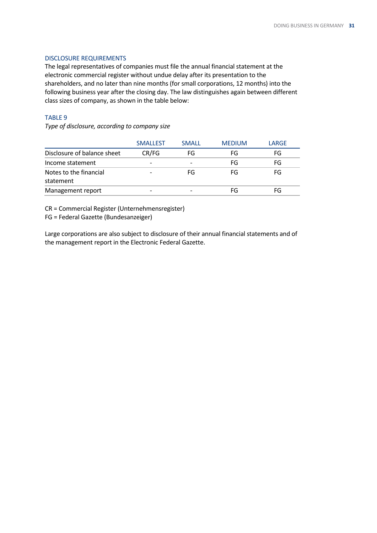### DISCLOSURE REQUIREMENTS

The legal representatives of companies must file the annual financial statement at the electronic commercial register without undue delay after its presentation to the shareholders, and no later than nine months (for small corporations, 12 months) into the following business year after the closing day. The law distinguishes again between different class sizes of company, as shown in the table below:

## TABLE 9

*Type of disclosure, according to company size*

|                             | <b>SMALLEST</b>          | <b>SMALL</b> | <b>MEDIUM</b> | LARGE |
|-----------------------------|--------------------------|--------------|---------------|-------|
| Disclosure of balance sheet | CR/FG                    | FG           | FG            | FG    |
| Income statement            | $\overline{\phantom{0}}$ |              | FG            | FG    |
| Notes to the financial      |                          | FG           | FG            | FG    |
| statement                   |                          |              |               |       |
| Management report           |                          |              | FG            | FG    |

CR = Commercial Register (Unternehmensregister)

FG = Federal Gazette (Bundesanzeiger)

Large corporations are also subject to disclosure of their annual financial statements and of the management report in the Electronic Federal Gazette.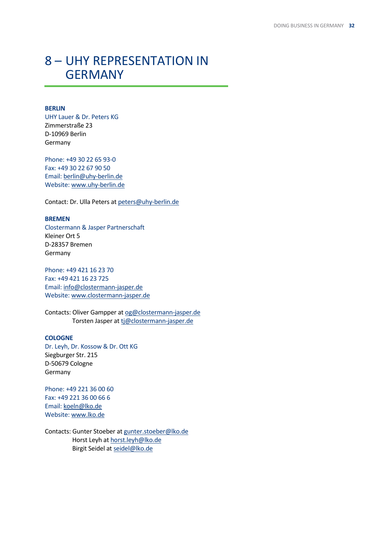# <span id="page-31-0"></span>8 – UHY REPRESENTATION IN **[GERMANY](#page-0-0)**

## **BERLIN**

UHY Lauer & Dr. Peters KG Zimmerstraße 23 D-10969 Berlin Germany

Phone: +49 30 22 65 93-0 Fax: +49 30 22 67 90 50 Email: [berlin@uhy-berlin.de](mailto:berlin@uhy-berlin.de) Website: [www.uhy-berlin.de](http://www.uhy-berlin.de/)

Contact: Dr. Ulla Peters a[t peters@uhy-berlin.de](mailto:peters@uhy-berlin.de)

# **BREMEN**

Clostermann & Jasper Partnerschaft Kleiner Ort 5 D-28357 Bremen Germany

Phone: +49 421 16 23 70 Fax: +49 421 16 23 725 Email: [info@clostermann-jasper.de](mailto:info@clostermann-jasper.de) Website: [www.clostermann-jasper.de](http://www.clostermann-jasper.de/)

Contacts: Oliver Gampper a[t og@clostermann-jasper.de](mailto:og@clostermann-jasper.de) Torsten Jasper at [tj@clostermann-jasper.de](mailto:tj@clostermann-jasper.de)

### **COLOGNE**

Dr. Leyh, Dr. Kossow & Dr. Ott KG Siegburger Str. 215 D-50679 Cologne Germany

Phone: +49 221 36 00 60 Fax: +49 221 36 00 66 6 Email: [koeln@lko.de](mailto:koeln@lko.de) Website: [www.lko.de](http://www.lko.de/)

Contacts: Gunter Stoeber a[t gunter.stoeber@lko.de](mailto:gunter.stoeber@lko.de) Horst Leyh a[t horst.leyh@lko.de](mailto:horst.leyh@lko.de) Birgit Seidel at [seidel@lko.de](mailto:seidel@lko.de)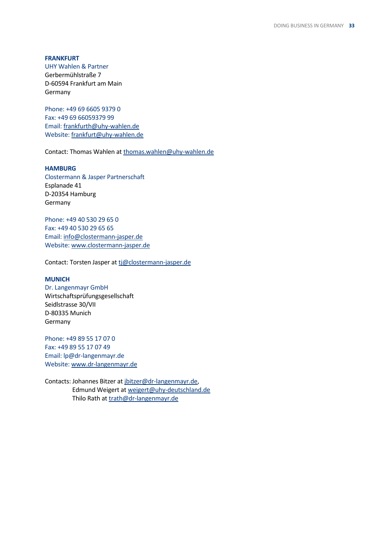### **FRANKFURT**

UHY Wahlen & Partner Gerbermühlstraße 7 D-60594 Frankfurt am Main Germany

Phone: +49 69 6605 9379 0 Fax: +49 69 66059379 99 Email: [frankfurth@uhy-wahlen.de](mailto:frankfurth@uhy-wahlen.de) Website: [frankfurt@uhy-wahlen.de](mailto:frankfurt@uhy-wahlen.de)

Contact: Thomas Wahlen at [thomas.wahlen@uhy-wahlen.de](mailto:thomas.wahlen@uhy-wahlen.de)

### **HAMBURG**

Clostermann & Jasper Partnerschaft Esplanade 41 D-20354 Hamburg Germany

Phone: +49 40 530 29 65 0 Fax: +49 40 530 29 65 65 Email: [info@clostermann-jasper.de](mailto:info@clostermann-jasper.de) Website: [www.clostermann-jasper.de](http://www.clostermann-jasper.de/)

Contact: Torsten Jasper at [tj@clostermann-jasper.de](mailto:tj@clostermann-jasper.de)

### **MUNICH**

Dr. Langenmayr GmbH Wirtschaftsprüfungsgesellschaft Seidlstrasse 30/VII D-80335 Munich Germany

Phone: +49 89 55 17 07 0 Fax: +49 89 55 17 07 49 Email: lp@dr-langenmayr.de Website[: www.dr-langenmayr.de](http://www.dr-langenmayr.de/)

Contacts: Johannes Bitzer a[t jbitzer@dr-langenmayr.de,](mailto:jbitzer@dr-langenmayr.de) Edmund Weigert at [weigert@uhy-deutschland.de](mailto:weigert@uhy-deutschland.de) Thilo Rath at [trath@dr-langenmayr.de](mailto:trath@dr-langenmayr.de)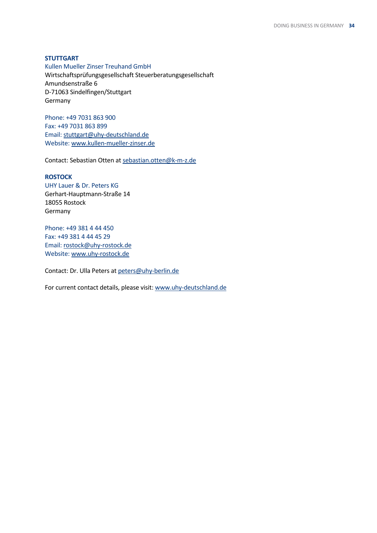### **STUTTGART**

Kullen Mueller Zinser Treuhand GmbH Wirtschaftsprüfungsgesellschaft Steuerberatungsgesellschaft Amundsenstraße 6 D-71063 Sindelfingen/Stuttgart Germany

Phone: +49 7031 863 900 Fax: +49 7031 863 899 Email: [stuttgart@uhy-deutschland.de](mailto:stuttgart@uhy-deutschland.de) Website: [www.kullen-mueller-zinser.de](http://www.kullen-mueller-zinser.de/)

Contact: Sebastian Otten a[t sebastian.otten@k-m-z.de](mailto:sebastian.otten@k-m-z.de)

### **ROSTOCK**

UHY Lauer & Dr. Peters KG Gerhart-Hauptmann-Straße 14 18055 Rostock Germany

Phone: +49 381 4 44 450 Fax: +49 381 4 44 45 29 Email: [rostock@uhy-rostock.de](mailto:rostock@uhy-rostock.de) Website[: www.uhy-rostock.de](http://www.uhy-rostock.de/)

Contact: Dr. Ulla Peters a[t peters@uhy-berlin.de](mailto:peters@uhy-berlin.de)

For current contact details, please visit: [www.uhy-deutschland.de](http://www.uhy-deutschland.de/)